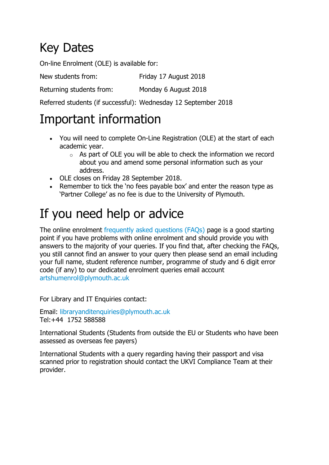# Key Dates

On-line Enrolment (OLE) is available for:

New students from: Friday 17 August 2018

Returning students from: Monday 6 August 2018

Referred students (if successful): Wednesday 12 September 2018

### Important information

- You will need to complete On-Line Registration (OLE) at the start of each academic year.
	- $\circ$  As part of OLE you will be able to check the information we record about you and amend some personal information such as your address.
- OLE closes on Friday 28 September 2018.
- Remember to tick the 'no fees payable box' and enter the reason type as 'Partner College' as no fee is due to the University of Plymouth.

# If you need help or advice

The online enrolment [frequently asked questions \(FAQs\)](https://www.plymouth.ac.uk/student-life/new-students/induction/online-enrolment-faqs) page is a good starting point if you have problems with online enrolment and should provide you with answers to the majority of your queries. If you find that, after checking the FAQs, you still cannot find an answer to your query then please send an email including your full name, student reference number, programme of study and 6 digit error code (if any) to our dedicated enrolment queries email account [artshumenrol@plymouth.ac.uk](mailto:artshumenrol@plymouth.ac.uk)

For Library and IT Enquiries contact:

Email: [libraryanditenquiries@plymouth.ac.uk](mailto:libraryanditenquiries@plymouth.ac.uk) Tel:+44 1752 588588

International Students (Students from outside the EU or Students who have been assessed as overseas fee payers)

International Students with a query regarding having their passport and visa scanned prior to registration should contact the UKVI Compliance Team at their provider.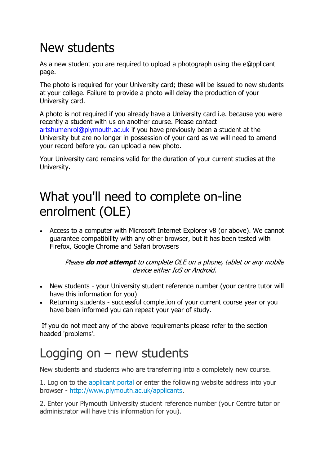# New students

As a new student you are required to upload a photograph using the e@pplicant page.

The photo is required for your University card; these will be issued to new students at your college. Failure to provide a photo will delay the production of your University card.

A photo is not required if you already have a University card i.e. because you were recently a student with us on another course. Please contact [artshumenrol@plymouth.ac.uk](mailto:artshumenrol@plymouth.ac.uk) if you have previously been a student at the University but are no longer in possession of your card as we will need to amend your record before you can upload a new photo.

Your University card remains valid for the duration of your current studies at the University.

# What you'll need to complete on-line enrolment (OLE)

 Access to a computer with Microsoft Internet Explorer v8 (or above). We cannot guarantee compatibility with any other browser, but it has been tested with Firefox, Google Chrome and Safari browsers

#### Please **do not attempt** to complete OLE on a phone, tablet or any mobile device either IoS or Android.

- New students your University student reference number (your centre tutor will have this information for you)
- Returning students successful completion of your current course year or you have been informed you can repeat your year of study.

If you do not meet any of the above requirements please refer to the section headed 'problems'.

# Logging on  $-$  new students

New students and students who are transferring into a completely new course.

1. Log on to the [applicant portal](http://www.plymouth.ac.uk/applicants) or enter the following website address into your browser - [http://www.plymouth.ac.uk/applicants.](http://www.plymouth.ac.uk/applicants)

2. Enter your Plymouth University student reference number (your Centre tutor or administrator will have this information for you).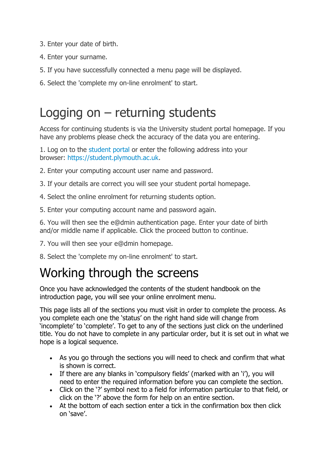- 3. Enter your date of birth.
- 4. Enter your surname.
- 5. If you have successfully connected a menu page will be displayed.
- 6. Select the 'complete my on-line enrolment' to start.

### Logging on – returning students

Access for continuing students is via the University student portal homepage. If you have any problems please check the accuracy of the data you are entering.

1. Log on to the [student portal](https://student.plymouth.ac.uk/) or enter the following address into your browser: [https://student.plymouth.ac.uk.](https://student.plymouth.ac.uk/)

- 2. Enter your computing account user name and password.
- 3. If your details are correct you will see your student portal homepage.
- 4. Select the online enrolment for returning students option.
- 5. Enter your computing account name and password again.

6. You will then see the e@dmin authentication page. Enter your date of birth and/or middle name if applicable. Click the proceed button to continue.

- 7. You will then see your e@dmin homepage.
- 8. Select the 'complete my on-line enrolment' to start.

# Working through the screens

Once you have acknowledged the contents of the student handbook on the introduction page, you will see your online enrolment menu.

This page lists all of the sections you must visit in order to complete the process. As you complete each one the 'status' on the right hand side will change from 'incomplete' to 'complete'. To get to any of the sections just click on the underlined title. You do not have to complete in any particular order, but it is set out in what we hope is a logical sequence.

- As you go through the sections you will need to check and confirm that what is shown is correct.
- If there are any blanks in 'compulsory fields' (marked with an 'i'), you will need to enter the required information before you can complete the section.
- Click on the '?' symbol next to a field for information particular to that field, or click on the '?' above the form for help on an entire section.
- At the bottom of each section enter a tick in the confirmation box then click on 'save'.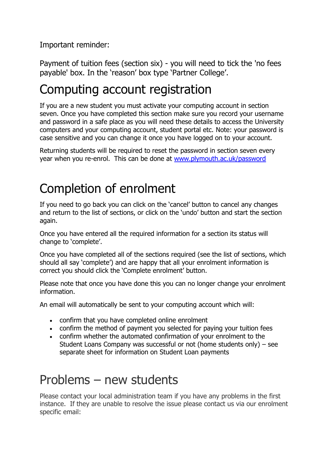Important reminder:

Payment of tuition fees (section six) - you will need to tick the 'no fees payable' box. In the 'reason' box type 'Partner College'.

#### Computing account registration

If you are a new student you must activate your computing account in section seven. Once you have completed this section make sure you record your username and password in a safe place as you will need these details to access the University computers and your computing account, student portal etc. Note: your password is case sensitive and you can change it once you have logged on to your account.

Returning students will be required to reset the password in section seven every year when you re-enrol. This can be done at [www.plymouth.ac.uk/password](http://www.plymouth.ac.uk/password)

# Completion of enrolment

If you need to go back you can click on the 'cancel' button to cancel any changes and return to the list of sections, or click on the 'undo' button and start the section again.

Once you have entered all the required information for a section its status will change to 'complete'.

Once you have completed all of the sections required (see the list of sections, which should all say 'complete') and are happy that all your enrolment information is correct you should click the 'Complete enrolment' button.

Please note that once you have done this you can no longer change your enrolment information.

An email will automatically be sent to your computing account which will:

- confirm that you have completed online enrolment
- confirm the method of payment you selected for paying your tuition fees
- confirm whether the automated confirmation of your enrolment to the Student Loans Company was successful or not (home students only) – see separate sheet for information on Student Loan payments

### Problems – new students

Please contact your local administration team if you have any problems in the first instance. If they are unable to resolve the issue please contact us via our enrolment specific email: